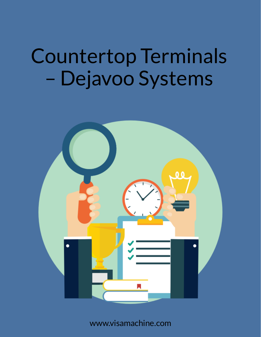

www.visamachine.com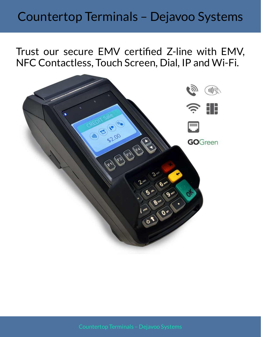Trust our secure EMV certified Z-line with EMV, NFC Contactless, Touch Screen, Dial, IP and Wi-Fi.

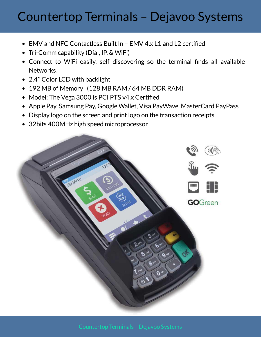- EMV and NFC Contactless Built In EMV 4.x L1 and L2 certified
- Tri-Comm capability (Dial, IP, & WiFi)
- Connect to WiFi easily, self discovering so the terminal finds all available Networks!
- 2.4'' Color LCD with backlight
- 192 MB of Memory (128 MB RAM / 64 MB DDR RAM)  $\bullet$
- Model: The Vega 3000 is PCI PTS v4.x Certified
- Apple Pay, Samsung Pay, Google Wallet, Visa PayWave, MasterCard PayPass
- Display logo on the screen and print logo on the transaction receipts
- 32bits 400MHz high speed microprocessor

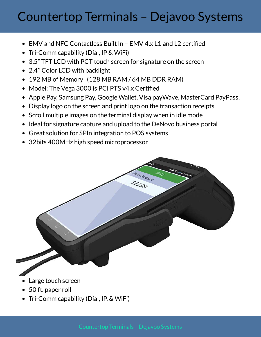- EMV and NFC Contactless Built In EMV 4.x L1 and L2 certified
- Tri-Comm capability (Dial, IP & WiFi)
- 3.5" TFT LCD with PCT touch screen for signature on the screen
- 2.4'' Color LCD with backlight
- 192 MB of Memory (128 MB RAM / 64 MB DDR RAM)
- Model: The Vega 3000 is PCI PTS v4.x Certified
- Apple Pay, Samsung Pay, Google Wallet, Visa payWave, MasterCard PayPass,
- Display logo on the screen and print logo on the transaction receipts
- Scroll multiple images on the terminal display when in idle mode
- Ideal for signature capture and upload to the DeNovo business portal
- Great solution for SPIn integration to POS systems
- 32bits 400MHz high speed microprocessor



Tri-Comm capability (Dial, IP, & WiFi)